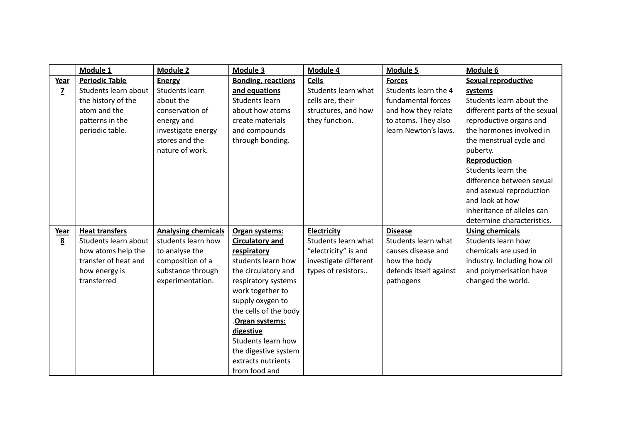|                | Module 1              | <b>Module 2</b>            | Module 3                  | Module 4              | <b>Module 5</b>        | Module 6                      |
|----------------|-----------------------|----------------------------|---------------------------|-----------------------|------------------------|-------------------------------|
| Year           | <b>Periodic Table</b> | <b>Energy</b>              | <b>Bonding, reactions</b> | <b>Cells</b>          | <b>Forces</b>          | <b>Sexual reproductive</b>    |
| $\overline{z}$ | Students learn about  | <b>Students learn</b>      | and equations             | Students learn what   | Students learn the 4   | systems                       |
|                | the history of the    | about the                  | <b>Students learn</b>     | cells are, their      | fundamental forces     | Students learn about the      |
|                | atom and the          | conservation of            | about how atoms           | structures, and how   | and how they relate    | different parts of the sexual |
|                | patterns in the       | energy and                 | create materials          | they function.        | to atoms. They also    | reproductive organs and       |
|                | periodic table.       | investigate energy         | and compounds             |                       | learn Newton's laws.   | the hormones involved in      |
|                |                       | stores and the             | through bonding.          |                       |                        | the menstrual cycle and       |
|                |                       | nature of work.            |                           |                       |                        | puberty.                      |
|                |                       |                            |                           |                       |                        | Reproduction                  |
|                |                       |                            |                           |                       |                        | Students learn the            |
|                |                       |                            |                           |                       |                        | difference between sexual     |
|                |                       |                            |                           |                       |                        | and asexual reproduction      |
|                |                       |                            |                           |                       |                        | and look at how               |
|                |                       |                            |                           |                       |                        | inheritance of alleles can    |
|                |                       |                            |                           |                       |                        | determine characteristics.    |
| Year           | <b>Heat transfers</b> | <b>Analysing chemicals</b> | Organ systems:            | Electricity           | <b>Disease</b>         | <b>Using chemicals</b>        |
| 8              | Students learn about  | students learn how         | <b>Circulatory and</b>    | Students learn what   | Students learn what    | Students learn how            |
|                | how atoms help the    | to analyse the             | respiratory               | "electricity" is and  | causes disease and     | chemicals are used in         |
|                | transfer of heat and  | composition of a           | students learn how        | investigate different | how the body           | industry. Including how oil   |
|                | how energy is         | substance through          | the circulatory and       | types of resistors    | defends itself against | and polymerisation have       |
|                | transferred           | experimentation.           | respiratory systems       |                       | pathogens              | changed the world.            |
|                |                       |                            | work together to          |                       |                        |                               |
|                |                       |                            | supply oxygen to          |                       |                        |                               |
|                |                       |                            | the cells of the body     |                       |                        |                               |
|                |                       |                            | Organ systems:            |                       |                        |                               |
|                |                       |                            | digestive                 |                       |                        |                               |
|                |                       |                            | Students learn how        |                       |                        |                               |
|                |                       |                            | the digestive system      |                       |                        |                               |
|                |                       |                            | extracts nutrients        |                       |                        |                               |
|                |                       |                            | from food and             |                       |                        |                               |